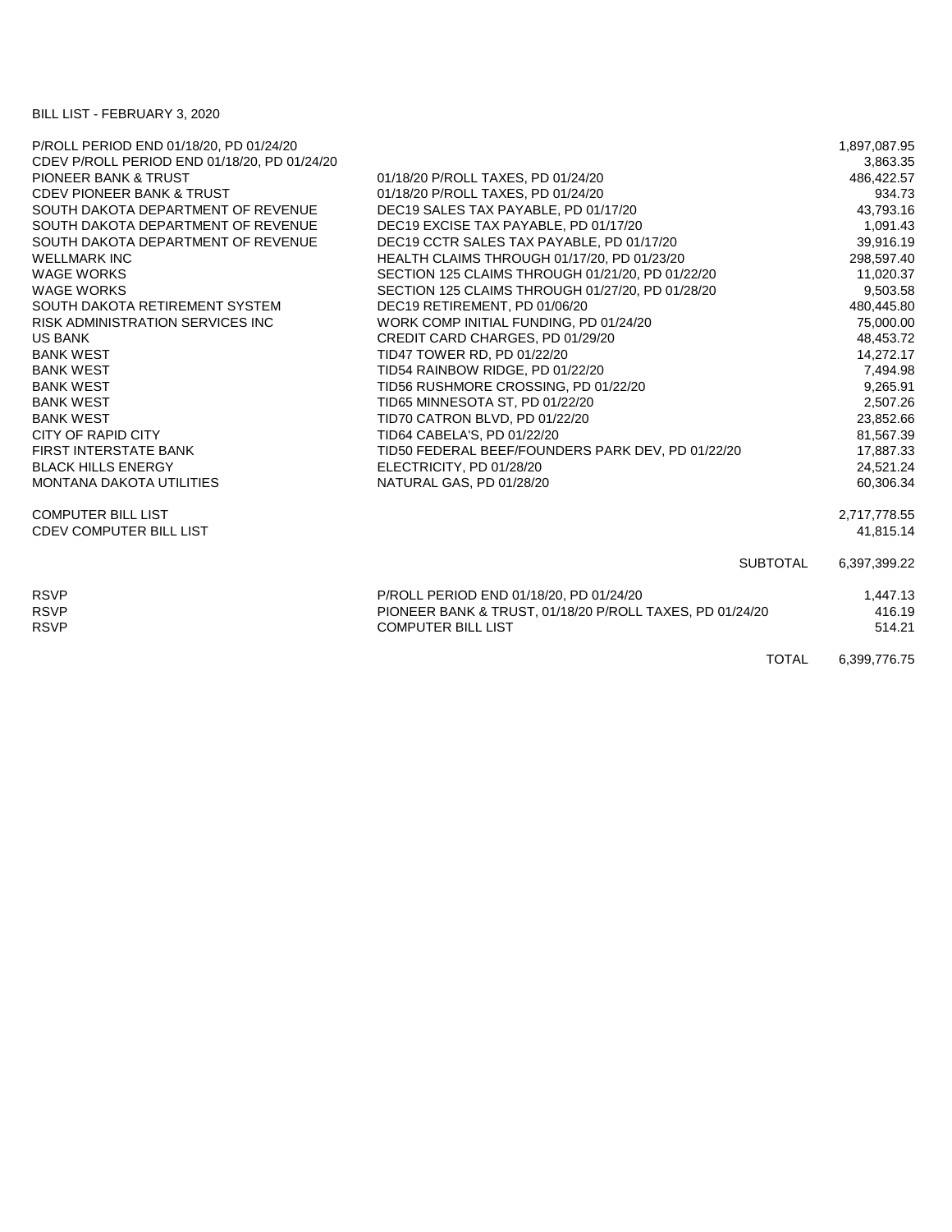## BILL LIST - FEBRUARY 3, 2020

| P/ROLL PERIOD END 01/18/20, PD 01/24/20      |                                                          | 1,897,087.95 |
|----------------------------------------------|----------------------------------------------------------|--------------|
| CDEV P/ROLL PERIOD END 01/18/20, PD 01/24/20 |                                                          | 3,863.35     |
| PIONEER BANK & TRUST                         | 01/18/20 P/ROLL TAXES, PD 01/24/20                       | 486,422.57   |
| <b>CDEV PIONEER BANK &amp; TRUST</b>         | 01/18/20 P/ROLL TAXES, PD 01/24/20                       | 934.73       |
| SOUTH DAKOTA DEPARTMENT OF REVENUE           | DEC19 SALES TAX PAYABLE, PD 01/17/20                     | 43,793.16    |
| SOUTH DAKOTA DEPARTMENT OF REVENUE           | DEC19 EXCISE TAX PAYABLE, PD 01/17/20                    | 1,091.43     |
| SOUTH DAKOTA DEPARTMENT OF REVENUE           | DEC19 CCTR SALES TAX PAYABLE, PD 01/17/20                | 39,916.19    |
| <b>WELLMARK INC</b>                          | HEALTH CLAIMS THROUGH 01/17/20, PD 01/23/20              | 298,597.40   |
| <b>WAGE WORKS</b>                            | SECTION 125 CLAIMS THROUGH 01/21/20, PD 01/22/20         | 11,020.37    |
| <b>WAGE WORKS</b>                            | SECTION 125 CLAIMS THROUGH 01/27/20, PD 01/28/20         | 9,503.58     |
| SOUTH DAKOTA RETIREMENT SYSTEM               | DEC19 RETIREMENT, PD 01/06/20                            | 480,445.80   |
| <b>RISK ADMINISTRATION SERVICES INC.</b>     | WORK COMP INITIAL FUNDING, PD 01/24/20                   | 75,000.00    |
| <b>US BANK</b>                               | CREDIT CARD CHARGES, PD 01/29/20                         | 48,453.72    |
| <b>BANK WEST</b>                             | TID47 TOWER RD, PD 01/22/20                              | 14,272.17    |
| <b>BANK WEST</b>                             | TID54 RAINBOW RIDGE, PD 01/22/20                         | 7,494.98     |
| <b>BANK WEST</b>                             | TID56 RUSHMORE CROSSING, PD 01/22/20                     | 9,265.91     |
| <b>BANK WEST</b>                             | TID65 MINNESOTA ST, PD 01/22/20                          | 2,507.26     |
| <b>BANK WEST</b>                             | TID70 CATRON BLVD, PD 01/22/20                           | 23,852.66    |
| CITY OF RAPID CITY                           | TID64 CABELA'S, PD 01/22/20                              | 81,567.39    |
| <b>FIRST INTERSTATE BANK</b>                 | TID50 FEDERAL BEEF/FOUNDERS PARK DEV, PD 01/22/20        | 17,887.33    |
| <b>BLACK HILLS ENERGY</b>                    | ELECTRICITY, PD 01/28/20                                 | 24,521.24    |
| <b>MONTANA DAKOTA UTILITIES</b>              | NATURAL GAS, PD 01/28/20                                 | 60,306.34    |
| <b>COMPUTER BILL LIST</b>                    |                                                          | 2,717,778.55 |
| <b>CDEV COMPUTER BILL LIST</b>               |                                                          | 41,815.14    |
|                                              | <b>SUBTOTAL</b>                                          | 6,397,399.22 |
| <b>RSVP</b>                                  | P/ROLL PERIOD END 01/18/20, PD 01/24/20                  | 1,447.13     |
| <b>RSVP</b>                                  | PIONEER BANK & TRUST, 01/18/20 P/ROLL TAXES, PD 01/24/20 | 416.19       |
| <b>RSVP</b>                                  | <b>COMPUTER BILL LIST</b>                                | 514.21       |
|                                              | <b>TOTAL</b>                                             | 6,399,776.75 |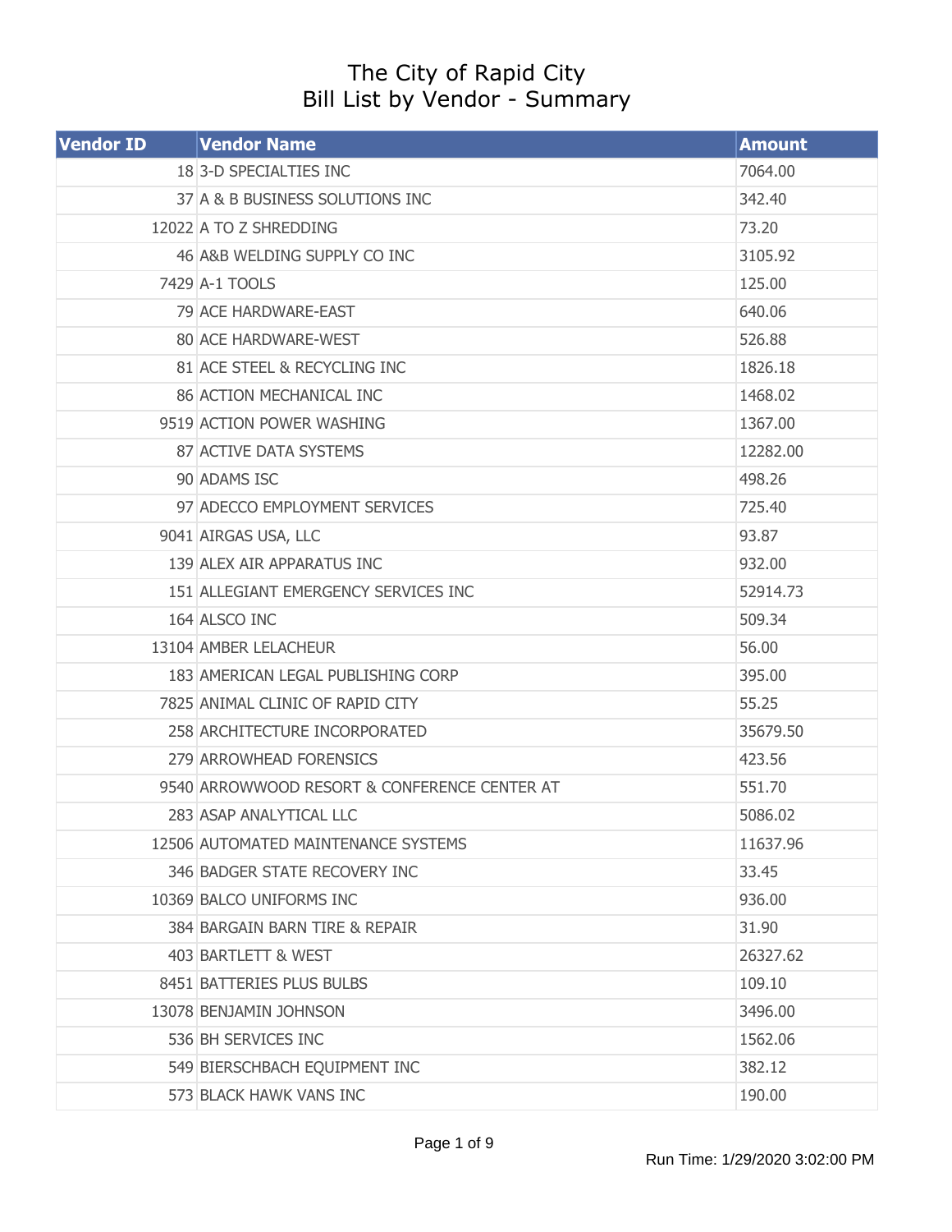## The City of Rapid City Bill List by Vendor - Summary

| <b>Vendor ID</b> | <b>Vendor Name</b>                           | <b>Amount</b> |
|------------------|----------------------------------------------|---------------|
|                  | 18 3-D SPECIALTIES INC                       | 7064.00       |
|                  | 37 A & B BUSINESS SOLUTIONS INC              | 342.40        |
|                  | 12022 A TO Z SHREDDING                       | 73.20         |
|                  | 46 A&B WELDING SUPPLY CO INC                 | 3105.92       |
|                  | 7429 A-1 TOOLS                               | 125.00        |
|                  | 79 ACE HARDWARE-EAST                         | 640.06        |
|                  | 80 ACE HARDWARE-WEST                         | 526.88        |
|                  | 81 ACE STEEL & RECYCLING INC                 | 1826.18       |
|                  | 86 ACTION MECHANICAL INC                     | 1468.02       |
|                  | 9519 ACTION POWER WASHING                    | 1367.00       |
|                  | 87 ACTIVE DATA SYSTEMS                       | 12282.00      |
|                  | 90 ADAMS ISC                                 | 498.26        |
|                  | 97 ADECCO EMPLOYMENT SERVICES                | 725.40        |
|                  | 9041 AIRGAS USA, LLC                         | 93.87         |
|                  | 139 ALEX AIR APPARATUS INC                   | 932.00        |
|                  | 151 ALLEGIANT EMERGENCY SERVICES INC         | 52914.73      |
|                  | 164 ALSCO INC                                | 509.34        |
|                  | 13104 AMBER LELACHEUR                        | 56.00         |
|                  | 183 AMERICAN LEGAL PUBLISHING CORP           | 395.00        |
|                  | 7825 ANIMAL CLINIC OF RAPID CITY             | 55.25         |
|                  | 258 ARCHITECTURE INCORPORATED                | 35679.50      |
|                  | 279 ARROWHEAD FORENSICS                      | 423.56        |
|                  | 9540 ARROWWOOD RESORT & CONFERENCE CENTER AT | 551.70        |
|                  | 283 ASAP ANALYTICAL LLC                      | 5086.02       |
|                  | 12506 AUTOMATED MAINTENANCE SYSTEMS          | 11637.96      |
|                  | 346 BADGER STATE RECOVERY INC                | 33.45         |
|                  | 10369 BALCO UNIFORMS INC                     | 936.00        |
|                  | 384 BARGAIN BARN TIRE & REPAIR               | 31.90         |
|                  | 403 BARTLETT & WEST                          | 26327.62      |
|                  | 8451 BATTERIES PLUS BULBS                    | 109.10        |
|                  | 13078 BENJAMIN JOHNSON                       | 3496.00       |
|                  | 536 BH SERVICES INC                          | 1562.06       |
|                  | 549 BIERSCHBACH EQUIPMENT INC                | 382.12        |
|                  | 573 BLACK HAWK VANS INC                      | 190.00        |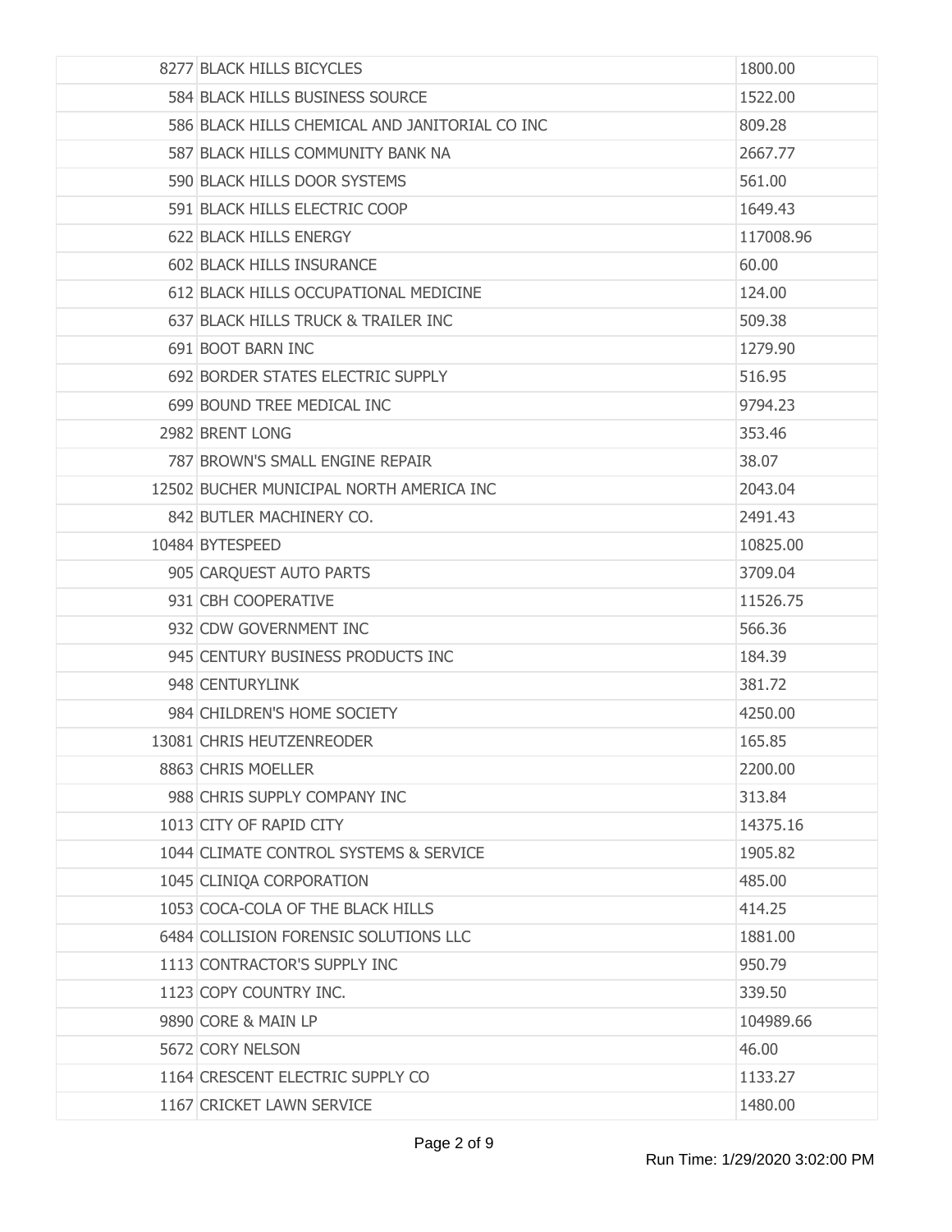| 8277 BLACK HILLS BICYCLES                      | 1800.00   |
|------------------------------------------------|-----------|
| 584 BLACK HILLS BUSINESS SOURCE                | 1522.00   |
| 586 BLACK HILLS CHEMICAL AND JANITORIAL CO INC | 809.28    |
| 587 BLACK HILLS COMMUNITY BANK NA              | 2667.77   |
| 590 BLACK HILLS DOOR SYSTEMS                   | 561.00    |
| 591 BLACK HILLS ELECTRIC COOP                  | 1649.43   |
| 622 BLACK HILLS ENERGY                         | 117008.96 |
| 602 BLACK HILLS INSURANCE                      | 60.00     |
| 612 BLACK HILLS OCCUPATIONAL MEDICINE          | 124.00    |
| 637 BLACK HILLS TRUCK & TRAILER INC            | 509.38    |
| 691 BOOT BARN INC                              | 1279.90   |
| 692 BORDER STATES ELECTRIC SUPPLY              | 516.95    |
| 699 BOUND TREE MEDICAL INC                     | 9794.23   |
| 2982 BRENT LONG                                | 353.46    |
| 787 BROWN'S SMALL ENGINE REPAIR                | 38.07     |
| 12502 BUCHER MUNICIPAL NORTH AMERICA INC       | 2043.04   |
| 842 BUTLER MACHINERY CO.                       | 2491.43   |
| 10484 BYTESPEED                                | 10825.00  |
| 905 CARQUEST AUTO PARTS                        | 3709.04   |
| 931 CBH COOPERATIVE                            | 11526.75  |
| 932 CDW GOVERNMENT INC                         | 566.36    |
| 945 CENTURY BUSINESS PRODUCTS INC              | 184.39    |
| 948 CENTURYLINK                                | 381.72    |
| 984 CHILDREN'S HOME SOCIETY                    | 4250.00   |
| 13081 CHRIS HEUTZENREODER                      | 165.85    |
| 8863 CHRIS MOELLER                             | 2200.00   |
| 988 CHRIS SUPPLY COMPANY INC                   | 313.84    |
| 1013 CITY OF RAPID CITY                        | 14375.16  |
| 1044 CLIMATE CONTROL SYSTEMS & SERVICE         | 1905.82   |
| 1045 CLINIQA CORPORATION                       | 485.00    |
| 1053 COCA-COLA OF THE BLACK HILLS              | 414.25    |
| 6484 COLLISION FORENSIC SOLUTIONS LLC          | 1881.00   |
| 1113 CONTRACTOR'S SUPPLY INC                   | 950.79    |
| 1123 COPY COUNTRY INC.                         | 339.50    |
| 9890 CORE & MAIN LP                            | 104989.66 |
| 5672 CORY NELSON                               | 46.00     |
| 1164 CRESCENT ELECTRIC SUPPLY CO               | 1133.27   |
| 1167 CRICKET LAWN SERVICE                      | 1480.00   |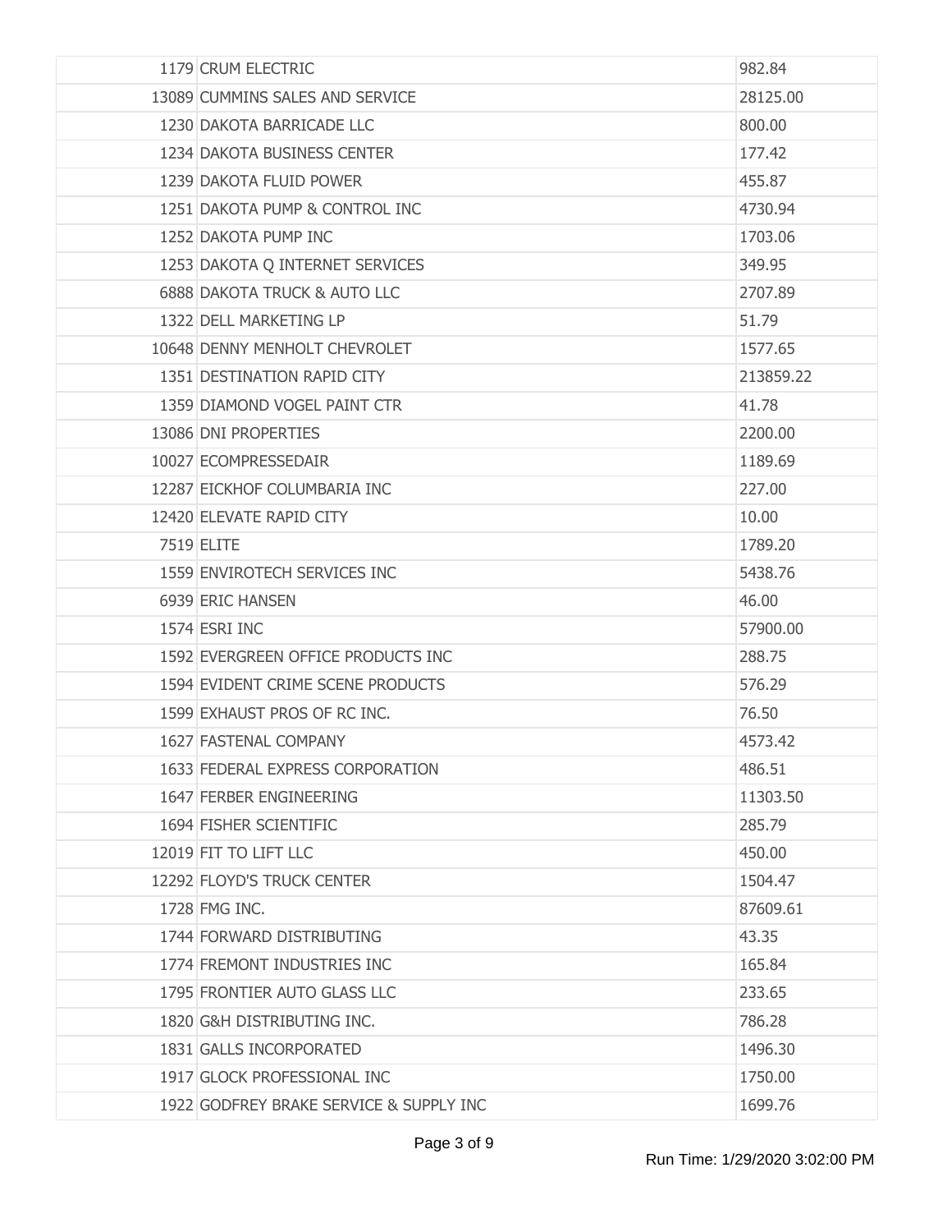| 1179 CRUM ELECTRIC                      | 982.84    |
|-----------------------------------------|-----------|
| 13089 CUMMINS SALES AND SERVICE         | 28125.00  |
| 1230 DAKOTA BARRICADE LLC               | 800.00    |
| 1234 DAKOTA BUSINESS CENTER             | 177.42    |
| 1239 DAKOTA FLUID POWER                 | 455.87    |
| 1251 DAKOTA PUMP & CONTROL INC          | 4730.94   |
| 1252 DAKOTA PUMP INC                    | 1703.06   |
| 1253 DAKOTA Q INTERNET SERVICES         | 349.95    |
| 6888 DAKOTA TRUCK & AUTO LLC            | 2707.89   |
| 1322 DELL MARKETING LP                  | 51.79     |
| 10648 DENNY MENHOLT CHEVROLET           | 1577.65   |
| 1351 DESTINATION RAPID CITY             | 213859.22 |
| 1359 DIAMOND VOGEL PAINT CTR            | 41.78     |
| 13086 DNI PROPERTIES                    | 2200.00   |
| 10027 ECOMPRESSEDAIR                    | 1189.69   |
| 12287 EICKHOF COLUMBARIA INC            | 227.00    |
| 12420 ELEVATE RAPID CITY                | 10.00     |
| 7519 ELITE                              | 1789.20   |
| 1559 ENVIROTECH SERVICES INC            | 5438.76   |
| 6939 ERIC HANSEN                        | 46.00     |
| 1574 ESRI INC                           | 57900.00  |
| 1592 EVERGREEN OFFICE PRODUCTS INC      | 288.75    |
| 1594 EVIDENT CRIME SCENE PRODUCTS       | 576.29    |
| 1599 EXHAUST PROS OF RC INC.            | 76.50     |
| 1627 FASTENAL COMPANY                   | 4573.42   |
| 1633 FEDERAL EXPRESS CORPORATION        | 486.51    |
| 1647 FERBER ENGINEERING                 | 11303.50  |
| 1694 FISHER SCIENTIFIC                  | 285.79    |
| 12019 FIT TO LIFT LLC                   | 450.00    |
| 12292 FLOYD'S TRUCK CENTER              | 1504.47   |
| 1728 FMG INC.                           | 87609.61  |
| 1744 FORWARD DISTRIBUTING               | 43.35     |
| 1774 FREMONT INDUSTRIES INC             | 165.84    |
| 1795 FRONTIER AUTO GLASS LLC            | 233.65    |
| 1820 G&H DISTRIBUTING INC.              | 786.28    |
| 1831 GALLS INCORPORATED                 | 1496.30   |
| 1917 GLOCK PROFESSIONAL INC             | 1750.00   |
| 1922 GODFREY BRAKE SERVICE & SUPPLY INC | 1699.76   |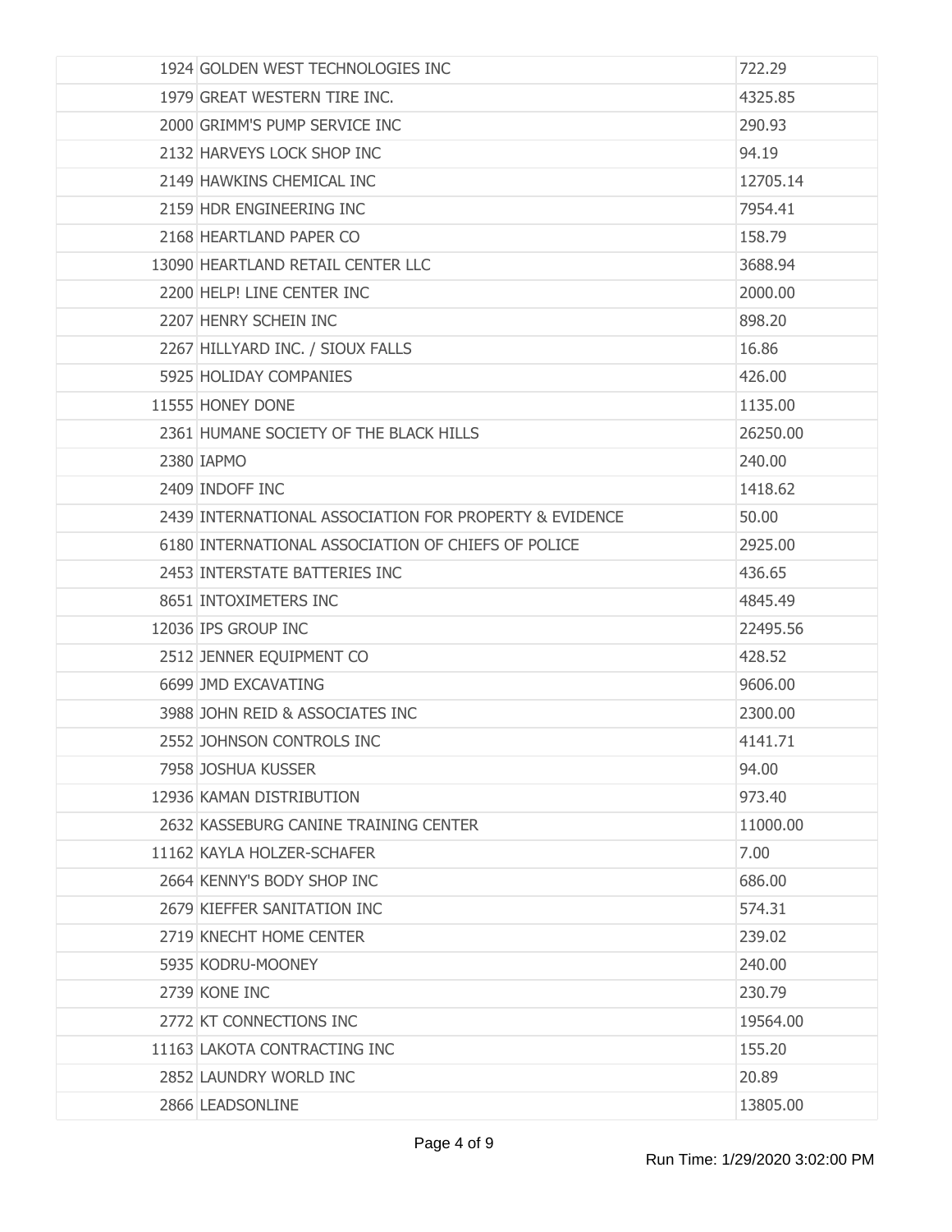| 1924 GOLDEN WEST TECHNOLOGIES INC                      | 722.29   |
|--------------------------------------------------------|----------|
| 1979 GREAT WESTERN TIRE INC.                           | 4325.85  |
| 2000 GRIMM'S PUMP SERVICE INC                          | 290.93   |
| 2132 HARVEYS LOCK SHOP INC                             | 94.19    |
| 2149 HAWKINS CHEMICAL INC                              | 12705.14 |
| 2159 HDR ENGINEERING INC                               | 7954.41  |
| 2168 HEARTLAND PAPER CO                                | 158.79   |
| 13090 HEARTLAND RETAIL CENTER LLC                      | 3688.94  |
| 2200 HELP! LINE CENTER INC                             | 2000.00  |
| 2207 HENRY SCHEIN INC                                  | 898.20   |
| 2267 HILLYARD INC. / SIOUX FALLS                       | 16.86    |
| 5925 HOLIDAY COMPANIES                                 | 426.00   |
| 11555 HONEY DONE                                       | 1135.00  |
| 2361 HUMANE SOCIETY OF THE BLACK HILLS                 | 26250.00 |
| 2380 IAPMO                                             | 240.00   |
| 2409 INDOFF INC                                        | 1418.62  |
| 2439 INTERNATIONAL ASSOCIATION FOR PROPERTY & EVIDENCE | 50.00    |
| 6180 INTERNATIONAL ASSOCIATION OF CHIEFS OF POLICE     | 2925.00  |
| 2453 INTERSTATE BATTERIES INC                          | 436.65   |
| 8651 INTOXIMETERS INC                                  | 4845.49  |
| 12036 IPS GROUP INC                                    | 22495.56 |
| 2512 JENNER EQUIPMENT CO                               | 428.52   |
| 6699 JMD EXCAVATING                                    | 9606.00  |
| 3988 JOHN REID & ASSOCIATES INC                        | 2300.00  |
| 2552 JOHNSON CONTROLS INC                              | 4141.71  |
| 7958 JOSHUA KUSSER                                     | 94.00    |
| 12936 KAMAN DISTRIBUTION                               | 973.40   |
| 2632 KASSEBURG CANINE TRAINING CENTER                  | 11000.00 |
| 11162 KAYLA HOLZER-SCHAFER                             | 7.00     |
| 2664 KENNY'S BODY SHOP INC                             | 686.00   |
| 2679 KIEFFER SANITATION INC                            | 574.31   |
| 2719 KNECHT HOME CENTER                                | 239.02   |
| 5935 KODRU-MOONEY                                      | 240.00   |
| 2739 KONE INC                                          | 230.79   |
| 2772 KT CONNECTIONS INC                                | 19564.00 |
| 11163 LAKOTA CONTRACTING INC                           | 155.20   |
| 2852 LAUNDRY WORLD INC                                 | 20.89    |
| 2866 LEADSONLINE                                       | 13805.00 |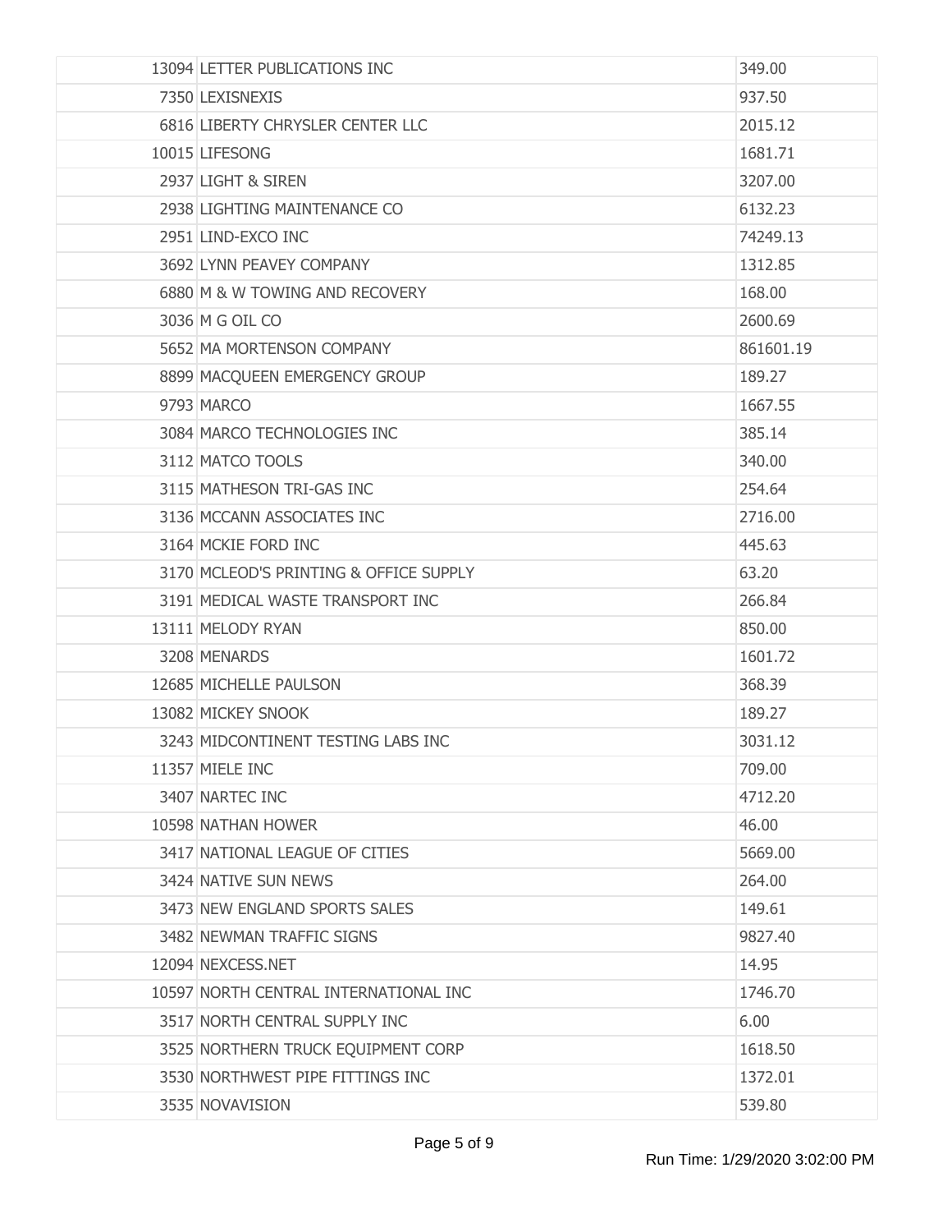| 13094 LETTER PUBLICATIONS INC          | 349.00    |
|----------------------------------------|-----------|
| 7350 LEXISNEXIS                        | 937.50    |
| 6816 LIBERTY CHRYSLER CENTER LLC       | 2015.12   |
| 10015 LIFESONG                         | 1681.71   |
| 2937 LIGHT & SIREN                     | 3207.00   |
| 2938 LIGHTING MAINTENANCE CO           | 6132.23   |
| 2951 LIND-EXCO INC                     | 74249.13  |
| 3692 LYNN PEAVEY COMPANY               | 1312.85   |
| 6880 M & W TOWING AND RECOVERY         | 168.00    |
| 3036 M G OIL CO                        | 2600.69   |
| 5652 MA MORTENSON COMPANY              | 861601.19 |
| 8899 MACQUEEN EMERGENCY GROUP          | 189.27    |
| 9793 MARCO                             | 1667.55   |
| 3084 MARCO TECHNOLOGIES INC            | 385.14    |
| 3112 MATCO TOOLS                       | 340.00    |
| 3115 MATHESON TRI-GAS INC              | 254.64    |
| 3136 MCCANN ASSOCIATES INC             | 2716.00   |
| 3164 MCKIE FORD INC                    | 445.63    |
| 3170 MCLEOD'S PRINTING & OFFICE SUPPLY | 63.20     |
| 3191 MEDICAL WASTE TRANSPORT INC       | 266.84    |
| 13111 MELODY RYAN                      | 850.00    |
| 3208 MENARDS                           | 1601.72   |
| 12685 MICHELLE PAULSON                 | 368,39    |
| 13082 MICKEY SNOOK                     | 189.27    |
| 3243 MIDCONTINENT TESTING LABS INC     | 3031.12   |
| 11357 MIELE INC                        | 709.00    |
| 3407 NARTEC INC                        | 4712.20   |
| 10598 NATHAN HOWER                     | 46.00     |
| 3417 NATIONAL LEAGUE OF CITIES         | 5669.00   |
| 3424 NATIVE SUN NEWS                   | 264.00    |
| 3473 NEW ENGLAND SPORTS SALES          | 149.61    |
| 3482 NEWMAN TRAFFIC SIGNS              | 9827.40   |
| 12094 NEXCESS.NET                      | 14.95     |
| 10597 NORTH CENTRAL INTERNATIONAL INC  | 1746.70   |
| 3517 NORTH CENTRAL SUPPLY INC          | 6.00      |
| 3525 NORTHERN TRUCK EQUIPMENT CORP     | 1618.50   |
| 3530 NORTHWEST PIPE FITTINGS INC       | 1372.01   |
| 3535 NOVAVISION                        | 539.80    |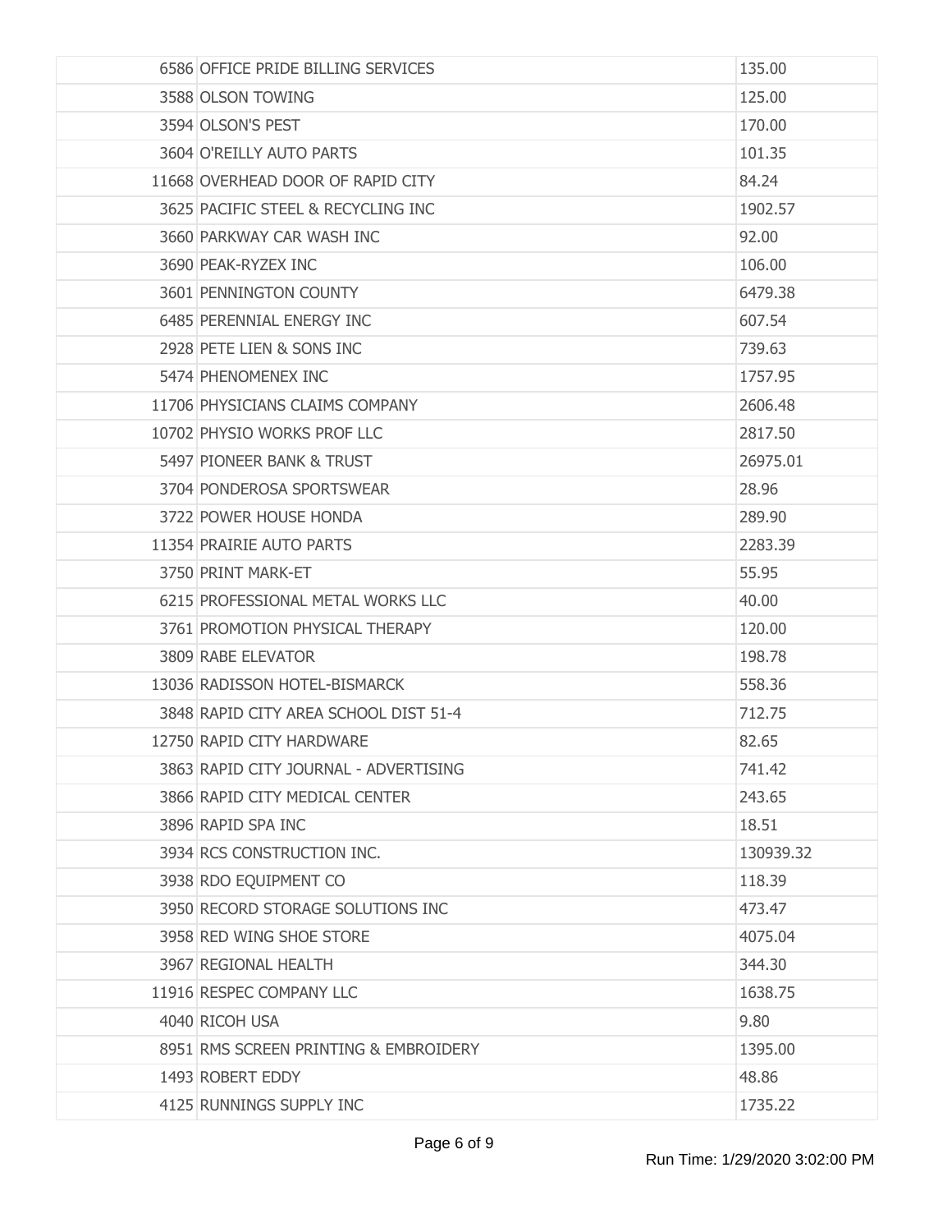| 6586 OFFICE PRIDE BILLING SERVICES    | 135.00    |
|---------------------------------------|-----------|
| 3588 OLSON TOWING                     | 125.00    |
| 3594 OLSON'S PEST                     | 170.00    |
| 3604 O'REILLY AUTO PARTS              | 101.35    |
| 11668 OVERHEAD DOOR OF RAPID CITY     | 84.24     |
| 3625 PACIFIC STEEL & RECYCLING INC    | 1902.57   |
| 3660 PARKWAY CAR WASH INC             | 92.00     |
| 3690 PEAK-RYZEX INC                   | 106.00    |
| 3601 PENNINGTON COUNTY                | 6479.38   |
| 6485 PERENNIAL ENERGY INC             | 607.54    |
| 2928 PETE LIEN & SONS INC             | 739.63    |
| 5474 PHENOMENEX INC                   | 1757.95   |
| 11706 PHYSICIANS CLAIMS COMPANY       | 2606.48   |
| 10702 PHYSIO WORKS PROF LLC           | 2817.50   |
| 5497 PIONEER BANK & TRUST             | 26975.01  |
| 3704 PONDEROSA SPORTSWEAR             | 28.96     |
| 3722 POWER HOUSE HONDA                | 289.90    |
| 11354 PRAIRIE AUTO PARTS              | 2283.39   |
| 3750 PRINT MARK-ET                    | 55.95     |
| 6215 PROFESSIONAL METAL WORKS LLC     | 40.00     |
| 3761 PROMOTION PHYSICAL THERAPY       | 120.00    |
| 3809 RABE ELEVATOR                    | 198.78    |
| 13036 RADISSON HOTEL-BISMARCK         | 558.36    |
| 3848 RAPID CITY AREA SCHOOL DIST 51-4 | 712.75    |
| 12750 RAPID CITY HARDWARE             | 82.65     |
| 3863 RAPID CITY JOURNAL - ADVERTISING | 741.42    |
| 3866 RAPID CITY MEDICAL CENTER        | 243.65    |
| 3896 RAPID SPA INC                    | 18.51     |
| 3934 RCS CONSTRUCTION INC.            | 130939.32 |
| 3938 RDO EQUIPMENT CO                 | 118.39    |
| 3950 RECORD STORAGE SOLUTIONS INC     | 473.47    |
| 3958 RED WING SHOE STORE              | 4075.04   |
| 3967 REGIONAL HEALTH                  | 344.30    |
| 11916 RESPEC COMPANY LLC              | 1638.75   |
| 4040 RICOH USA                        | 9.80      |
| 8951 RMS SCREEN PRINTING & EMBROIDERY | 1395.00   |
| 1493 ROBERT EDDY                      | 48.86     |
| 4125 RUNNINGS SUPPLY INC              | 1735.22   |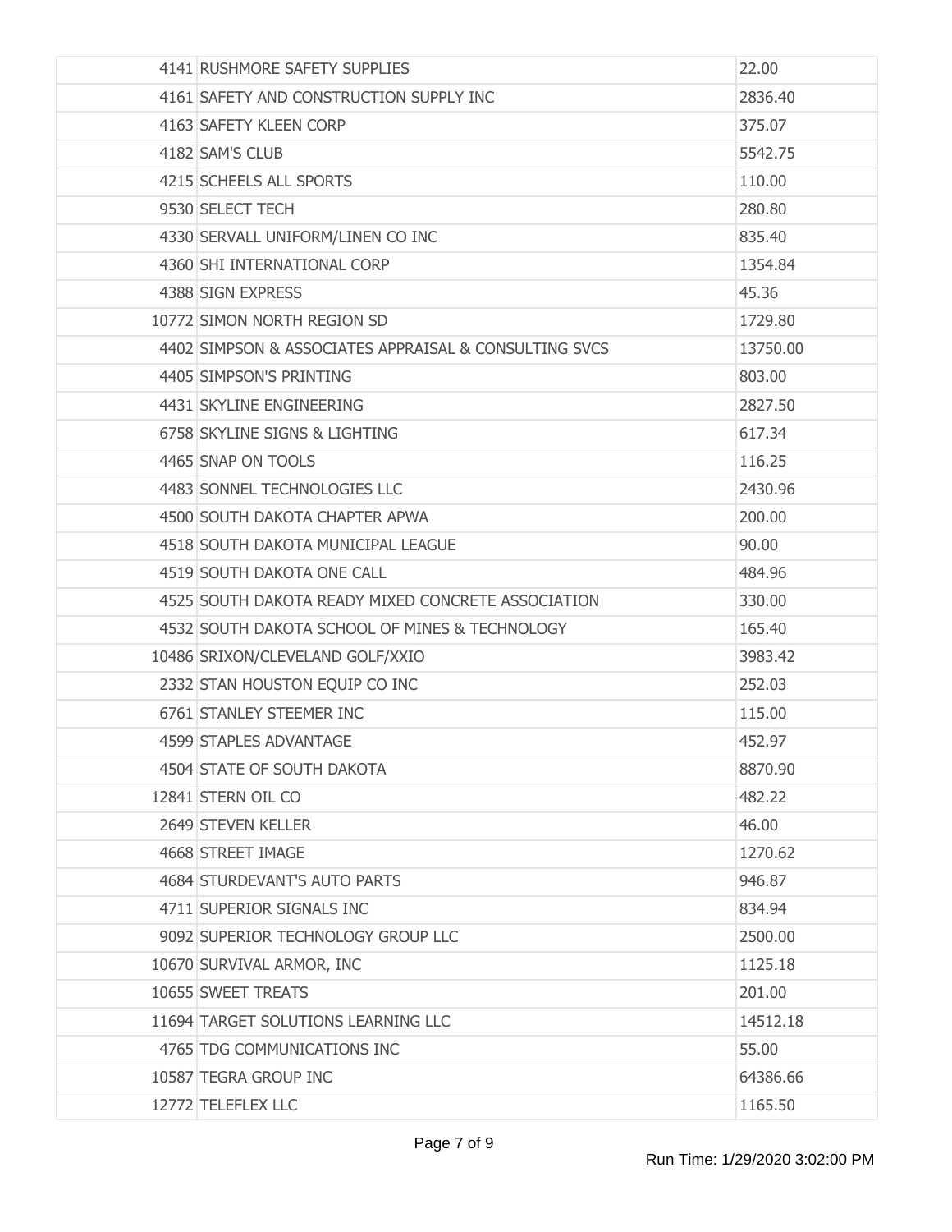| 4141 RUSHMORE SAFETY SUPPLIES                         | 22.00    |
|-------------------------------------------------------|----------|
| 4161 SAFETY AND CONSTRUCTION SUPPLY INC               | 2836.40  |
| 4163 SAFETY KLEEN CORP                                | 375.07   |
| 4182 SAM'S CLUB                                       | 5542.75  |
| 4215 SCHEELS ALL SPORTS                               | 110.00   |
| 9530 SELECT TECH                                      | 280.80   |
| 4330 SERVALL UNIFORM/LINEN CO INC                     | 835.40   |
| 4360 SHI INTERNATIONAL CORP                           | 1354.84  |
| 4388 SIGN EXPRESS                                     | 45.36    |
| 10772 SIMON NORTH REGION SD                           | 1729.80  |
| 4402 SIMPSON & ASSOCIATES APPRAISAL & CONSULTING SVCS | 13750.00 |
| 4405 SIMPSON'S PRINTING                               | 803.00   |
| 4431 SKYLINE ENGINEERING                              | 2827.50  |
| 6758 SKYLINE SIGNS & LIGHTING                         | 617.34   |
| 4465 SNAP ON TOOLS                                    | 116.25   |
| 4483 SONNEL TECHNOLOGIES LLC                          | 2430.96  |
| 4500 SOUTH DAKOTA CHAPTER APWA                        | 200.00   |
| 4518 SOUTH DAKOTA MUNICIPAL LEAGUE                    | 90.00    |
| 4519 SOUTH DAKOTA ONE CALL                            | 484.96   |
| 4525 SOUTH DAKOTA READY MIXED CONCRETE ASSOCIATION    | 330.00   |
| 4532 SOUTH DAKOTA SCHOOL OF MINES & TECHNOLOGY        | 165.40   |
| 10486 SRIXON/CLEVELAND GOLF/XXIO                      | 3983.42  |
| 2332 STAN HOUSTON EQUIP CO INC                        | 252.03   |
| 6761 STANLEY STEEMER INC                              | 115.00   |
| 4599 STAPLES ADVANTAGE                                | 452.97   |
| 4504 STATE OF SOUTH DAKOTA                            | 8870.90  |
| 12841 STERN OIL CO                                    | 482.22   |
| 2649 STEVEN KELLER                                    | 46.00    |
| 4668 STREET IMAGE                                     | 1270.62  |
| 4684 STURDEVANT'S AUTO PARTS                          | 946.87   |
| 4711 SUPERIOR SIGNALS INC                             | 834.94   |
| 9092 SUPERIOR TECHNOLOGY GROUP LLC                    | 2500.00  |
| 10670 SURVIVAL ARMOR, INC                             | 1125.18  |
| 10655 SWEET TREATS                                    | 201.00   |
| 11694 TARGET SOLUTIONS LEARNING LLC                   | 14512.18 |
| 4765 TDG COMMUNICATIONS INC                           | 55.00    |
| 10587 TEGRA GROUP INC                                 | 64386.66 |
| 12772 TELEFLEX LLC                                    | 1165.50  |